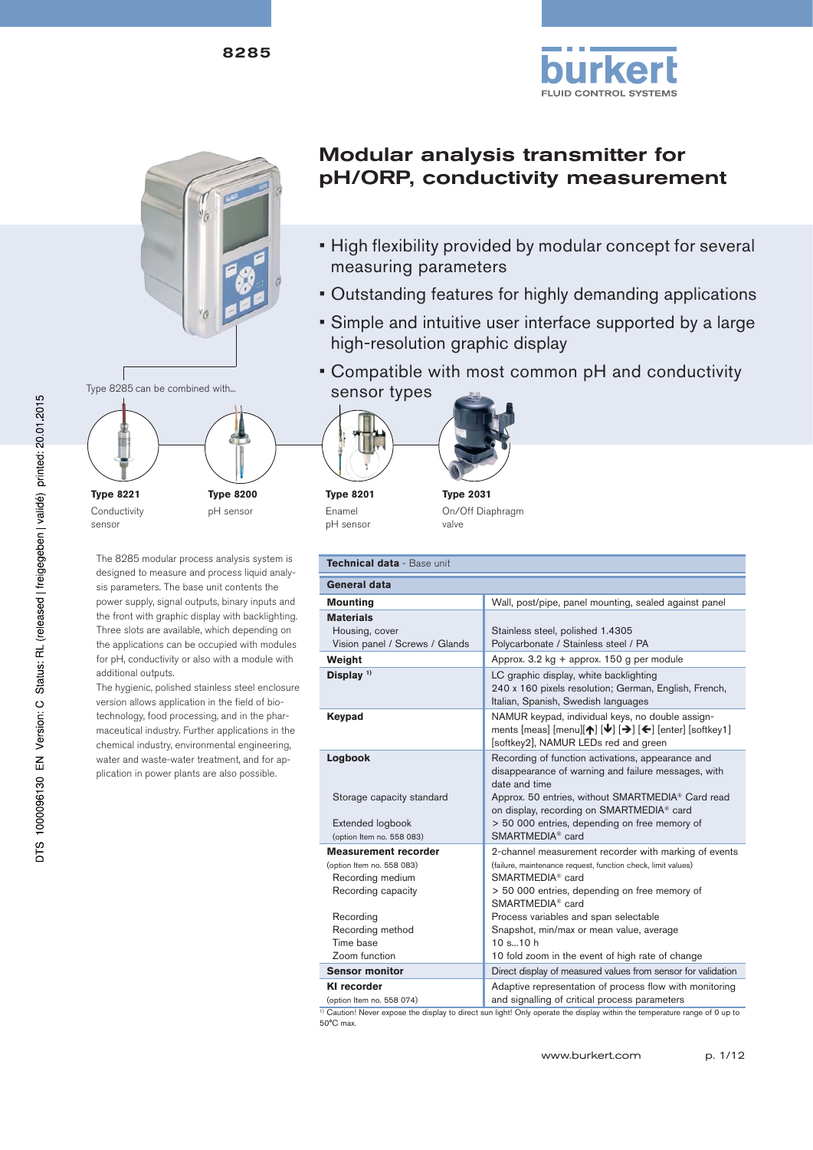



The 8285 modular process analysis system is designed to measure and process liquid analysis parameters. The base unit contents the power supply, signal outputs, binary inputs and the front with graphic display with backlighting. Three slots are available, which depending on the applications can be occupied with modules for pH, conductivity or also with a module with

**Type 8200** pH sensor

The hygienic, polished stainless steel enclosure version allows application in the field of biotechnology, food processing, and in the pharmaceutical industry. Further applications in the chemical industry, environmental engineering, water and waste-water treatment, and for application in power plants are also possible.

additional outputs.

**Type 8221** Conductivity sensor

# Modular analysis transmitter for pH/ORP, conductivity measurement

- High flexibility provided by modular concept for several measuring parameters
- Outstanding features for highly demanding applications
- Simple and intuitive user interface supported by a large high-resolution graphic display
- Compatible with most common pH and conductivity





**Type 8201** Enamel pH sensor

**Type 2031** On/Off Diaphragm valve

| Technical data - Base unit                                                                                                                                        |                                                                                                                                                                                                                                                                                                                                                                                              |  |  |
|-------------------------------------------------------------------------------------------------------------------------------------------------------------------|----------------------------------------------------------------------------------------------------------------------------------------------------------------------------------------------------------------------------------------------------------------------------------------------------------------------------------------------------------------------------------------------|--|--|
| General data                                                                                                                                                      |                                                                                                                                                                                                                                                                                                                                                                                              |  |  |
| <b>Mounting</b>                                                                                                                                                   | Wall, post/pipe, panel mounting, sealed against panel                                                                                                                                                                                                                                                                                                                                        |  |  |
| <b>Materials</b><br>Housing, cover<br>Vision panel / Screws / Glands                                                                                              | Stainless steel, polished 1.4305<br>Polycarbonate / Stainless steel / PA                                                                                                                                                                                                                                                                                                                     |  |  |
| Weight                                                                                                                                                            | Approx. 3.2 kg + approx. 150 g per module                                                                                                                                                                                                                                                                                                                                                    |  |  |
| Display <sup>1)</sup>                                                                                                                                             | LC graphic display, white backlighting<br>240 x 160 pixels resolution; German, English, French,<br>Italian, Spanish, Swedish languages                                                                                                                                                                                                                                                       |  |  |
| Keypad                                                                                                                                                            | NAMUR keypad, individual keys, no double assign-<br>ments [meas] [menu][ $\uparrow$ ] [ $\downarrow$ ] [ $\uparrow$ ] [ $\leftarrow$ ] [enter] [softkey1]<br>[softkey2], NAMUR LEDs red and green                                                                                                                                                                                            |  |  |
| Logbook<br>Storage capacity standard<br>Extended logbook<br>(option Item no. 558 083)                                                                             | Recording of function activations, appearance and<br>disappearance of warning and failure messages, with<br>date and time<br>Approx. 50 entries, without SMARTMEDIA® Card read<br>on display, recording on SMARTMEDIA® card<br>> 50 000 entries, depending on free memory of<br>SMARTMEDIA <sup>®</sup> card                                                                                 |  |  |
| <b>Measurement recorder</b><br>(option Item no. 558 083)<br>Recording medium<br>Recording capacity<br>Recording<br>Recording method<br>Time base<br>Zoom function | 2-channel measurement recorder with marking of events<br>(failure, maintenance request, function check, limit values)<br>SMARTMEDIA <sup>®</sup> card<br>> 50 000 entries, depending on free memory of<br>SMARTMEDIA <sup>®</sup> card<br>Process variables and span selectable<br>Snapshot, min/max or mean value, average<br>10 s 10 h<br>10 fold zoom in the event of high rate of change |  |  |
| <b>Sensor monitor</b>                                                                                                                                             | Direct display of measured values from sensor for validation                                                                                                                                                                                                                                                                                                                                 |  |  |
| <b>KI recorder</b>                                                                                                                                                | Adaptive representation of process flow with monitoring                                                                                                                                                                                                                                                                                                                                      |  |  |

(option Item no. 558 074) and signalling of critical process parameters 1) Caution! Never expose the display to direct sun light! Only operate the display within the temperature range of 0 up to 50°C max.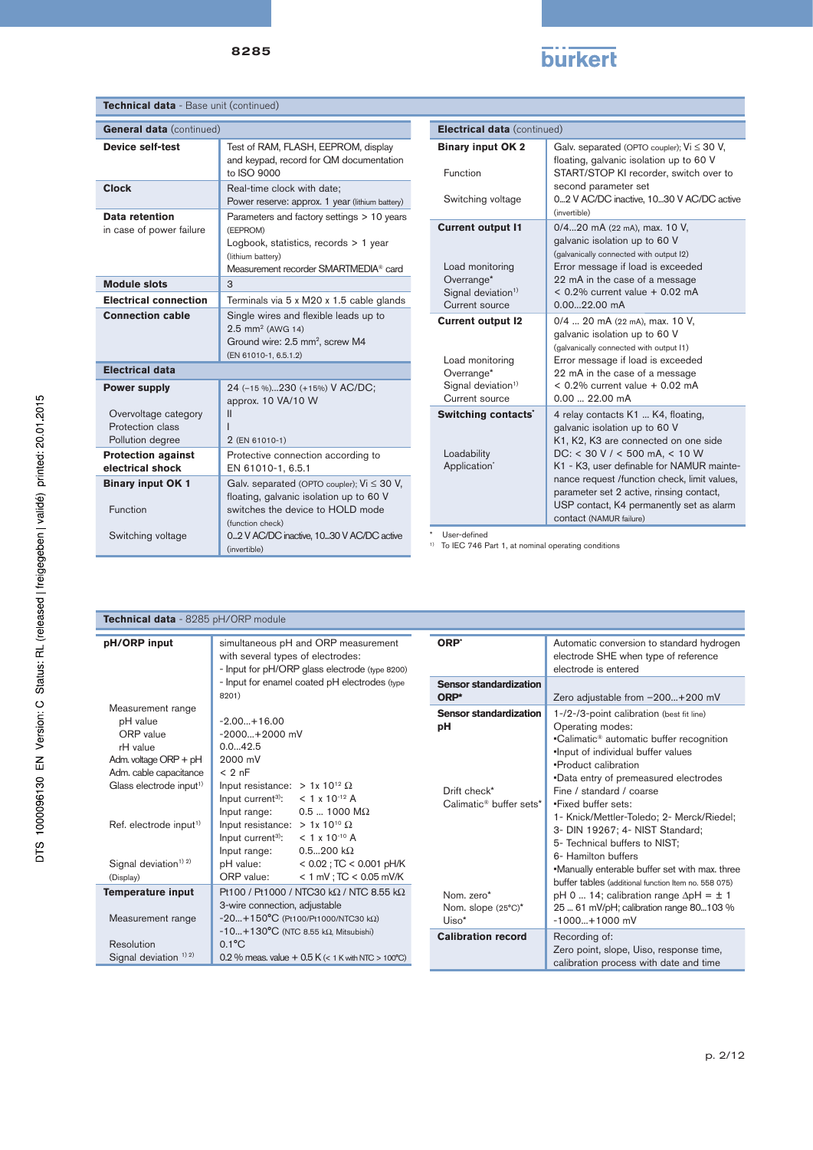# **burkert**

| Technical data - Base unit (continued)                                                    |                                                                                                                                                                                                 |                                                          |                                                                                                                                                                 |
|-------------------------------------------------------------------------------------------|-------------------------------------------------------------------------------------------------------------------------------------------------------------------------------------------------|----------------------------------------------------------|-----------------------------------------------------------------------------------------------------------------------------------------------------------------|
| <b>General data</b> (continued)                                                           |                                                                                                                                                                                                 | Electrical data (continued)                              |                                                                                                                                                                 |
| <b>Device self-test</b>                                                                   | Test of RAM, FLASH, EEPROM, display<br>and keypad, record for QM documentation<br>to ISO 9000                                                                                                   | <b>Binary input OK 2</b><br>Function                     | Galv. separated (OPTO coupler); $Vi \leq 30 V$ ,<br>floating, galvanic isolation up to 60 V<br>START/STOP KI recorder, switch over to                           |
| <b>Clock</b>                                                                              | Real-time clock with date;<br>Power reserve: approx. 1 year (lithium battery)                                                                                                                   | Switching voltage                                        | second parameter set<br>02 V AC/DC inactive, 1030 V AC/DC active<br>(invertible)                                                                                |
| Data retention<br>in case of power failure                                                | Parameters and factory settings > 10 years<br>(EEPROM)<br>Logbook, statistics, records > 1 year<br>(lithium battery)<br>Measurement recorder SMARTMEDIA® card                                   | <b>Current output I1</b><br>Load monitoring              | 0/420 mA (22 mA), max. 10 V,<br>galvanic isolation up to 60 V<br>(galvanically connected with output I2)<br>Error message if load is exceeded                   |
| <b>Module slots</b>                                                                       | 3                                                                                                                                                                                               | Overrange*<br>Signal deviation <sup>1)</sup>             | 22 mA in the case of a message<br>$< 0.2\%$ current value $+ 0.02$ mA                                                                                           |
| <b>Electrical connection</b>                                                              | Terminals via 5 x M20 x 1.5 cable glands                                                                                                                                                        | Current source                                           | $0.0022.00$ mA                                                                                                                                                  |
| <b>Connection cable</b>                                                                   | Single wires and flexible leads up to<br>$2.5$ mm <sup>2</sup> (AWG 14)<br>Ground wire: 2.5 mm <sup>2</sup> , screw M4<br>(EN 61010-1, 6.5.1.2)                                                 | <b>Current output I2</b><br>Load monitoring              | 0/4  20 mA (22 mA), max. 10 V,<br>galvanic isolation up to 60 V<br>(galvanically connected with output I1)<br>Error message if load is exceeded                 |
| <b>Electrical data</b>                                                                    |                                                                                                                                                                                                 | Overrange*                                               | 22 mA in the case of a message                                                                                                                                  |
| <b>Power supply</b>                                                                       | 24 (-15 %)230 (+15%) V AC/DC;<br>approx. 10 VA/10 W                                                                                                                                             | Signal deviation <sup>1)</sup><br>Current source         | $< 0.2\%$ current value $+ 0.02$ mA<br>$0.0022.00$ mA                                                                                                           |
| Overvoltage category<br>Protection class<br>Pollution degree<br><b>Protection against</b> | $\mathbf{II}$<br>2 (EN 61010-1)<br>Protective connection according to                                                                                                                           | Switching contacts'<br>Loadability                       | 4 relay contacts K1  K4, floating,<br>galvanic isolation up to 60 V<br>K1, K2, K3 are connected on one side<br>$DC: < 30$ V / $< 500$ mA, $< 10$ W              |
| electrical shock                                                                          | EN 61010-1, 6.5.1                                                                                                                                                                               | Application <sup>*</sup>                                 | K1 - K3, user definable for NAMUR mainte-                                                                                                                       |
| <b>Binary input OK 1</b><br>Function<br>Switching voltage                                 | Galv. separated (OPTO coupler); $Vi \leq 30 V$ ,<br>floating, galvanic isolation up to 60 V<br>switches the device to HOLD mode<br>(function check)<br>02 V AC/DC inactive, 1030 V AC/DC active | User-defined                                             | nance request /function check, limit values,<br>parameter set 2 active, rinsing contact,<br>USP contact, K4 permanently set as alarm<br>contact (NAMUR failure) |
|                                                                                           | (invertible)                                                                                                                                                                                    | To IEC 746 Part 1, at nominal operating conditions<br>1) |                                                                                                                                                                 |

| Technical data - 8285 pH/ORP module                                                                                                                |                                                                                                                                                                                                                                   |                                                                                                    |                                                                                                                                                                                                                                                                                                                     |  |
|----------------------------------------------------------------------------------------------------------------------------------------------------|-----------------------------------------------------------------------------------------------------------------------------------------------------------------------------------------------------------------------------------|----------------------------------------------------------------------------------------------------|---------------------------------------------------------------------------------------------------------------------------------------------------------------------------------------------------------------------------------------------------------------------------------------------------------------------|--|
| pH/ORP input                                                                                                                                       | simultaneous pH and ORP measurement<br>with several types of electrodes:<br>- Input for pH/ORP glass electrode (type 8200)<br>- Input for enamel coated pH electrodes (type<br>8201)                                              | ORP <sup>*</sup><br><b>Sensor standardization</b>                                                  | Automatic conversion to standard hydrogen<br>electrode SHE when type of reference<br>electrode is entered                                                                                                                                                                                                           |  |
| Measurement range<br>pH value<br>ORP value<br>rH value<br>Adm. voltage $ORP + pH$<br>Adm. cable capacitance<br>Glass electrode input <sup>1)</sup> | $-2.00+16.00$<br>$-2000+2000$ mV<br>0.042.5<br>2000 mV<br>< 2 nF<br>Input resistance: $> 1x 10^{12} \Omega$<br>$< 1 \times 10^{-12}$ A<br>Input current <sup>3)</sup> :<br>$0.5$ 1000 M $\Omega$<br>Input range:                  | ORP*<br><b>Sensor standardization</b><br>рH<br>Drift check*<br>Calimatic <sup>®</sup> buffer sets* | Zero adjustable from -200+200 mV<br>1-/2-/3-point calibration (best fit line)<br>Operating modes:<br>•Calimatic <sup>®</sup> automatic buffer recognition<br>.Input of individual buffer values<br>•Product calibration<br>.Data entry of premeasured electrodes<br>Fine / standard / coarse<br>.Fixed buffer sets: |  |
| Ref. electrode input <sup>1)</sup><br>Signal deviation <sup>1) 2)</sup><br>(Display)                                                               | Input resistance: $> 1x 10^{10} \Omega$<br>Input current <sup>3)</sup> :<br>$< 1 \times 10^{-10}$ A<br>$0.5200 k\Omega$<br>Input range:<br>< $0.02$ ; TC < $0.001$ pH/K<br>pH value:<br>$< 1$ mV ; TC $< 0.05$ mV/K<br>ORP value: |                                                                                                    | 1- Knick/Mettler-Toledo; 2- Merck/Riedel;<br>3- DIN 19267; 4- NIST Standard;<br>5- Technical buffers to NIST:<br>6- Hamilton buffers<br>.Manually enterable buffer set with max. three<br>buffer tables (additional function Item no. 558 075)                                                                      |  |
| <b>Temperature input</b><br>Measurement range                                                                                                      | Pt100 / Pt1000 / NTC30 k $\Omega$ / NTC 8.55 k $\Omega$<br>3-wire connection, adjustable<br>$-20+150^{\circ}C$ (Pt100/Pt1000/NTC30 kΩ)                                                                                            | Nom. zero*<br>Nom. slope (25°C)*<br>$Uiso^*$                                                       | pH 0  14; calibration range $\Delta$ pH = $\pm$ 1<br>25  61 mV/pH; calibration range 80103 %<br>$-1000+1000$ mV                                                                                                                                                                                                     |  |
| Resolution<br>Signal deviation $12$                                                                                                                | $-10+130^{\circ}C$ (NTC 8.55 k $\Omega$ , Mitsubishi)<br>$0.1$ <sup>o</sup> C<br>0.2 % meas. value $+$ 0.5 K (< 1 K with NTC > 100°C)                                                                                             | <b>Calibration record</b>                                                                          | Recording of:<br>Zero point, slope, Uiso, response time,<br>calibration process with date and time                                                                                                                                                                                                                  |  |

I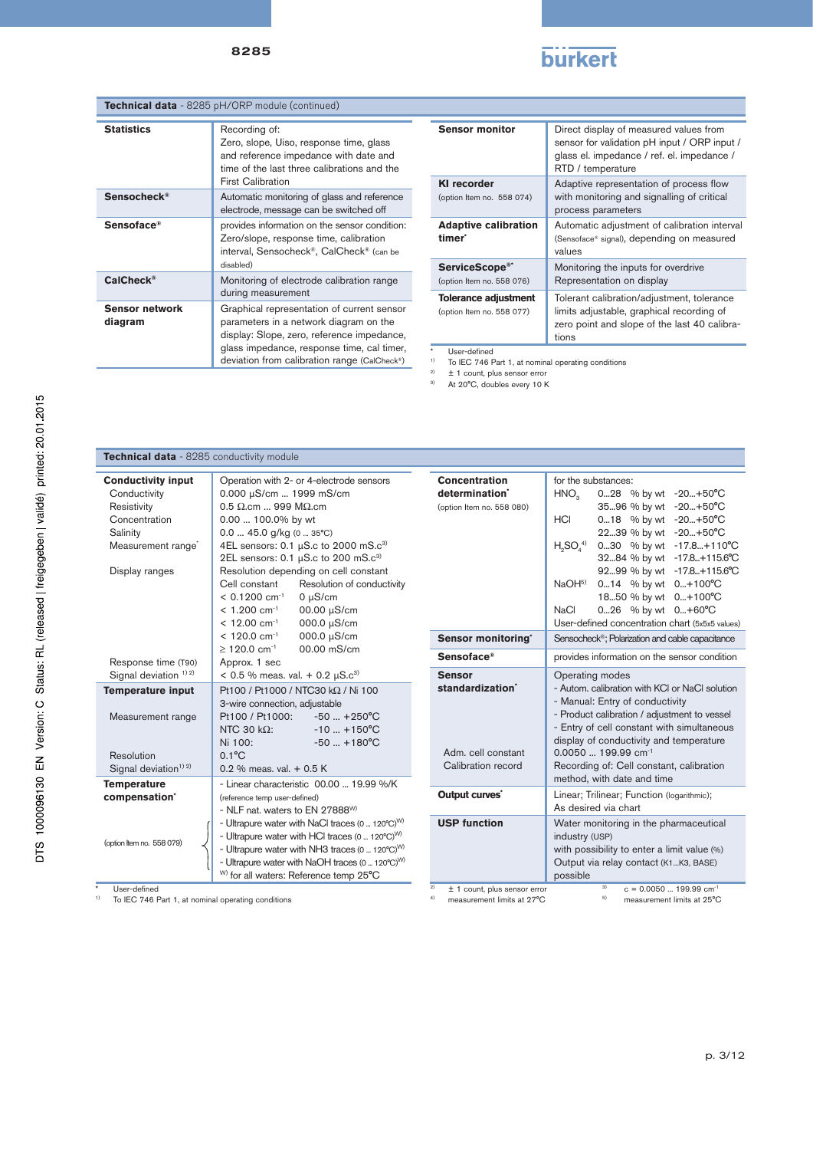

| Technical data - 8285 pH/ORP module (continued) |                                                                                                                                                                                                                                  |  |
|-------------------------------------------------|----------------------------------------------------------------------------------------------------------------------------------------------------------------------------------------------------------------------------------|--|
| <b>Statistics</b>                               | Recording of:<br>Zero, slope, Uiso, response time, glass<br>and reference impedance with date and<br>time of the last three calibrations and the<br><b>First Calibration</b>                                                     |  |
| Sensocheck <sup>®</sup>                         | Automatic monitoring of glass and reference<br>electrode, message can be switched off                                                                                                                                            |  |
| Sensoface®                                      | provides information on the sensor condition:<br>Zero/slope, response time, calibration<br>interval, Sensocheck®, CalCheck® (can be<br>disabled)                                                                                 |  |
| CalCheck <sup>®</sup>                           | Monitoring of electrode calibration range<br>during measurement                                                                                                                                                                  |  |
| <b>Sensor network</b><br>diagram                | Graphical representation of current sensor<br>parameters in a network diagram on the<br>display: Slope, zero, reference impedance,<br>glass impedance, response time, cal timer,<br>deviation from calibration range (CalCheck®) |  |

| <b>Sensor monitor</b>                                   | Direct display of measured values from<br>sensor for validation pH input / ORP input /<br>glass el. impedance / ref. el. impedance /<br>RTD / temperature |
|---------------------------------------------------------|-----------------------------------------------------------------------------------------------------------------------------------------------------------|
| <b>KI</b> recorder<br>(option Item no. 558 074)         | Adaptive representation of process flow<br>with monitoring and signalling of critical<br>process parameters                                               |
| <b>Adaptive calibration</b><br>timer <sup>*</sup>       | Automatic adjustment of calibration interval<br>(Sensoface® signal), depending on measured<br>values                                                      |
| ServiceScope <sup>®*</sup><br>(option Item no. 558 076) | Monitoring the inputs for overdrive<br>Representation on display                                                                                          |
| Tolerance adjustment<br>(option Item no. 558 077)       | Tolerant calibration/adjustment, tolerance<br>limits adjustable, graphical recording of<br>zero point and slope of the last 40 calibra-<br>tions          |

\* User-defined 1) To IEC 746 Part 1, at nominal operating conditions

 $2$   $\pm$  1 count, plus sensor error

<sup>3)</sup> At 20°C, doubles every 10 K

| Technical data - 8285 conductivity module                                                                                                 |                                                                                                                                                                                                                                                                                                                                                                          |                          |
|-------------------------------------------------------------------------------------------------------------------------------------------|--------------------------------------------------------------------------------------------------------------------------------------------------------------------------------------------------------------------------------------------------------------------------------------------------------------------------------------------------------------------------|--------------------------|
| <b>Conductivity input</b><br>Conductivity<br>Resistivity<br>Concentration<br>Salinity<br>Measurement range <sup>®</sup><br>Display ranges | Operation with 2- or 4-electrode sensors<br>0.000 µS/cm  1999 mS/cm<br>$0.5 \Omega$ .cm  999 M $\Omega$ .cm<br>0.00  100.0% by wt<br>$0.0$ 45.0 g/kg (0  35°C)<br>4EL sensors: 0.1 $\mu$ S.c to 2000 mS.c <sup>3)</sup><br>2EL sensors: $0.1 \mu S$ .c to 200 mS.c <sup>3)</sup><br>Resolution depending on cell constant<br>Resolution of conductivity<br>Cell constant | Conc<br>deter<br>(option |
|                                                                                                                                           | $< 0.1200$ cm <sup>-1</sup><br>$0 \mu S/cm$<br>$< 1.200$ cm <sup>-1</sup><br>00.00 µS/cm<br>000.0 µS/cm<br>$< 12.00$ cm <sup>-1</sup><br>000.0 µS/cm<br>$< 120.0$ cm <sup>-1</sup>                                                                                                                                                                                       |                          |
|                                                                                                                                           | 00.00 mS/cm<br>$\geq$ 120.0 cm <sup>-1</sup>                                                                                                                                                                                                                                                                                                                             | <b>Sens</b>              |
| Response time (T90)                                                                                                                       | Approx. 1 sec                                                                                                                                                                                                                                                                                                                                                            | <b>Sens</b>              |
| Signal deviation <sup>1) 2)</sup>                                                                                                         | $< 0.5$ % meas. val. + 0.2 $\mu$ S.c <sup>3)</sup>                                                                                                                                                                                                                                                                                                                       | <b>Sens</b>              |
| <b>Temperature input</b><br>Measurement range                                                                                             | Pt100 / Pt1000 / NTC30 kΩ / Ni 100<br>3-wire connection, adjustable<br>Pt100 / Pt1000:<br>$-50 - +250^{\circ}$ C<br>NTC 30 $k\Omega$ :<br>$-10$ $+150^{\circ}$ C<br>Ni 100:<br>$-50$ $+180^{\circ}$ C                                                                                                                                                                    | stand                    |
| Resolution                                                                                                                                | $0.1$ <sup>°</sup> C                                                                                                                                                                                                                                                                                                                                                     | Adm                      |
| Signal deviation <sup>1)</sup> <sup>2)</sup>                                                                                              | 0.2 % meas, val. $+$ 0.5 K                                                                                                                                                                                                                                                                                                                                               | Cali                     |
| <b>Temperature</b><br>compensation'                                                                                                       | - Linear characteristic 00.00  19.99 %/K<br>(reference temp user-defined)<br>- NLF nat. waters to EN 27888 <sup>W)</sup>                                                                                                                                                                                                                                                 | Outpi                    |
| (option Item no. 558 079)                                                                                                                 | - Ultrapure water with NaCl traces (0  120°C) <sup>W)</sup><br>- Ultrapure water with HCI traces (0  120°C) <sup>W)</sup><br>- Ultrapure water with NH3 traces (0  120°C) <sup>W)</sup><br>- Ultrapure water with NaOH traces (0  120°C) <sup>W)</sup><br><sup>W)</sup> for all waters: Reference temp 25°C                                                              | <b>USP</b>               |

| Concentration                                                                 | for the substances:                                                                                                                                                                                                                                                                                                                                         |  |  |
|-------------------------------------------------------------------------------|-------------------------------------------------------------------------------------------------------------------------------------------------------------------------------------------------------------------------------------------------------------------------------------------------------------------------------------------------------------|--|--|
| determination'                                                                | $-20+50°C$<br>HNO <sub>2</sub><br>028 % by wt                                                                                                                                                                                                                                                                                                               |  |  |
| (option Item no. 558 080)                                                     | $-20+50°C$<br>3596 % by wt                                                                                                                                                                                                                                                                                                                                  |  |  |
|                                                                               | 018 % by wt<br>$-20+50°C$<br><b>HCI</b>                                                                                                                                                                                                                                                                                                                     |  |  |
|                                                                               | 2239 % by wt<br>$-20+50^{\circ}C$                                                                                                                                                                                                                                                                                                                           |  |  |
|                                                                               | $H_{\circ}SO_{\prime}^{4)}$<br>030 % by wt<br>$-17.8+110^{\circ}C$                                                                                                                                                                                                                                                                                          |  |  |
|                                                                               | 3284 % by wt<br>$-17.8+115.6^{\circ}C$                                                                                                                                                                                                                                                                                                                      |  |  |
|                                                                               | 9299 % by wt<br>$-17.8+115.6^{\circ}C$                                                                                                                                                                                                                                                                                                                      |  |  |
|                                                                               | NaOH <sup>5)</sup><br>014 % by wt<br>$0+100^{\circ}C$                                                                                                                                                                                                                                                                                                       |  |  |
|                                                                               | 1850 % by wt<br>$0+100^{\circ}C$                                                                                                                                                                                                                                                                                                                            |  |  |
|                                                                               | <b>NaCl</b><br>026 % by wt<br>$0+60^{\circ}C$                                                                                                                                                                                                                                                                                                               |  |  |
|                                                                               | User-defined concentration chart (5x5x5 values)                                                                                                                                                                                                                                                                                                             |  |  |
| Sensor monitoring'                                                            | Sensocheck <sup>®</sup> ; Polarization and cable capacitance                                                                                                                                                                                                                                                                                                |  |  |
| $Sensoface$ <sup>®</sup>                                                      | provides information on the sensor condition                                                                                                                                                                                                                                                                                                                |  |  |
| <b>Sensor</b><br>standardization'<br>Adm. cell constant<br>Calibration record | Operating modes<br>- Autom, calibration with KCI or NaCI solution<br>- Manual: Entry of conductivity<br>- Product calibration / adjustment to vessel<br>- Entry of cell constant with simultaneous<br>display of conductivity and temperature<br>$0.0050$ 199.99 cm <sup>-1</sup><br>Recording of: Cell constant, calibration<br>method, with date and time |  |  |
| Output curves'                                                                | Linear; Trilinear; Function (logarithmic);<br>As desired via chart                                                                                                                                                                                                                                                                                          |  |  |
| <b>USP function</b>                                                           | Water monitoring in the pharmaceutical<br>industry (USP)<br>with possibility to enter a limit value (%)<br>Output via relay contact (K1K3, BASE)<br>possible                                                                                                                                                                                                |  |  |
| 2)<br>$± 1$ count, plus sensor error<br>4)<br>measurement limits at 27°C      | 3)<br>$c = 0.0050$ 199.99 $cm^{-1}$<br>5)<br>measurement limits at 25°C                                                                                                                                                                                                                                                                                     |  |  |

\* User-defined 1) To IEC 746 Part 1, at nominal operating conditions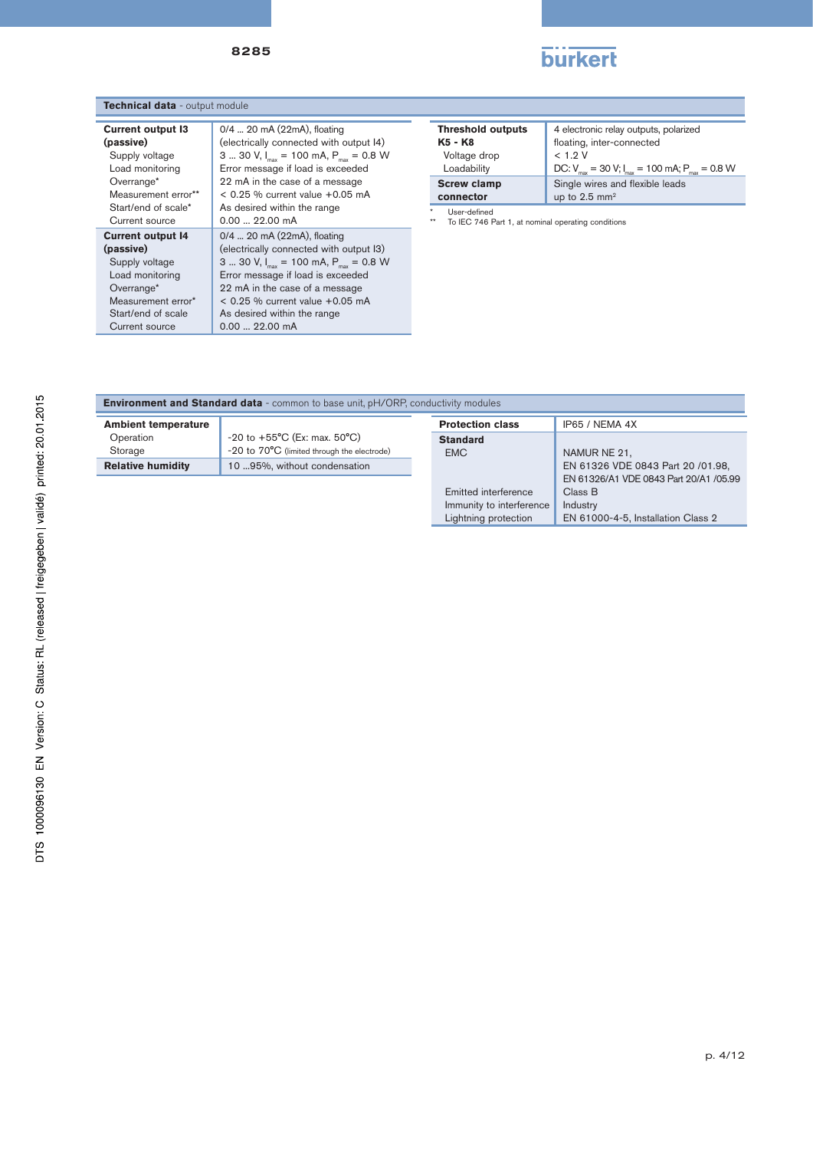

| Technical data - output module |                   |  |
|--------------------------------|-------------------|--|
| <b>Current output I3</b>       | 0/4  20 mA (2)    |  |
| (passive)                      | (electrically con |  |

| <b>Current output I3</b> | 0/4  20 mA (22mA), floating                                |
|--------------------------|------------------------------------------------------------|
| (passive)                | (electrically connected with output I4)                    |
| Supply voltage           | 3  30 V, I <sub>my</sub> = 100 mA, P <sub>my</sub> = 0.8 W |
| Load monitoring          | Error message if load is exceeded                          |
| Overrange*               | 22 mA in the case of a message                             |
| Measurement error**      | $< 0.25$ % current value $+0.05$ mA                        |
| Start/end of scale*      | As desired within the range                                |
| Current source           | $0.0022.00$ mA                                             |
| <b>Current output 14</b> | 0/4  20 mA (22mA), floating                                |
| (passive)                | (electrically connected with output I3)                    |
| Supply voltage           | 3  30 V, I <sub>nn</sub> = 100 mA, P <sub>nn</sub> = 0.8 W |
| Load monitoring          | Error message if load is exceeded                          |
| Overrange*               | 22 mA in the case of a message                             |
| Measurement error*       | $< 0.25$ % current value $+0.05$ mA                        |
| Start/end of scale       | As desired within the range                                |
| Current source           | $0.00$ 22.00 mA                                            |

| <b>Threshold outputs</b>        | 4 electronic relay outputs, polarized                       |
|---------------------------------|-------------------------------------------------------------|
| K <sub>5</sub> - K <sub>8</sub> | floating, inter-connected                                   |
| Voltage drop                    | < 1.9 V                                                     |
| Loadability                     | DC: $V_{max}$ = 30 V; $I_{max}$ = 100 mA; $P_{max}$ = 0.8 W |
| <b>Screw clamp</b>              | Single wires and flexible leads                             |
| connector                       | up to $2.5 \text{ mm}^2$                                    |

\* User-defined \*\* To IEC 746 Part 1, at nominal operating conditions

| <b>Ambient temperature</b> |                                                     |
|----------------------------|-----------------------------------------------------|
| Operation                  | $-20$ to $+55^{\circ}$ C (Ex: max. 50 $^{\circ}$ C) |
| Storage                    | -20 to 70°C (limited through the electrode)         |
| <b>Relative humidity</b>   | 10 95%, without condensation                        |
|                            |                                                     |
|                            |                                                     |
|                            |                                                     |
|                            |                                                     |
|                            |                                                     |
|                            |                                                     |
|                            |                                                     |
|                            |                                                     |
|                            |                                                     |

| <b>Environment and Standard data</b> - common to base unit, pH/ORP, conductivity modules |                                                     |                          |                                        |  |
|------------------------------------------------------------------------------------------|-----------------------------------------------------|--------------------------|----------------------------------------|--|
| <b>Ambient temperature</b>                                                               |                                                     | <b>Protection class</b>  | IP65 / NEMA 4X                         |  |
| Operation                                                                                | $-20$ to $+55^{\circ}$ C (Ex: max. 50 $^{\circ}$ C) | <b>Standard</b>          |                                        |  |
| Storage                                                                                  | -20 to 70°C (limited through the electrode)         | <b>EMC</b>               | NAMUR NE 21,                           |  |
| <b>Relative humidity</b>                                                                 | 10 95%, without condensation                        |                          | EN 61326 VDE 0843 Part 20 /01.98,      |  |
|                                                                                          |                                                     |                          | EN 61326/A1 VDE 0843 Part 20/A1 /05.99 |  |
|                                                                                          |                                                     | Emitted interference     | Class B                                |  |
|                                                                                          |                                                     | Immunity to interference | Industry                               |  |
|                                                                                          |                                                     | Lightning protection     | EN 61000-4-5, Installation Class 2     |  |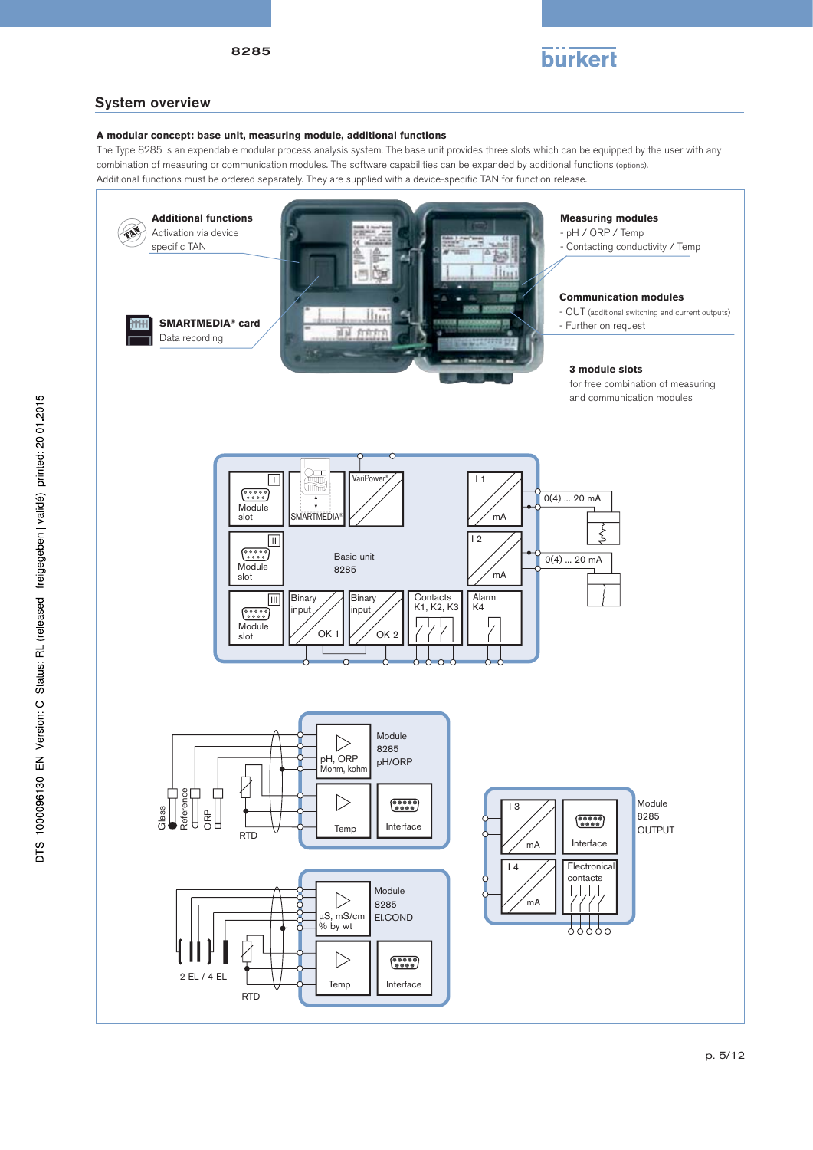

# System overview

## **A modular concept: base unit, measuring module, additional functions**

The Type 8285 is an expendable modular process analysis system. The base unit provides three slots which can be equipped by the user with any combination of measuring or communication modules. The software capabilities can be expanded by additional functions (options). Additional functions must be ordered separately. They are supplied with a device-specific TAN for function release.



p. 5/12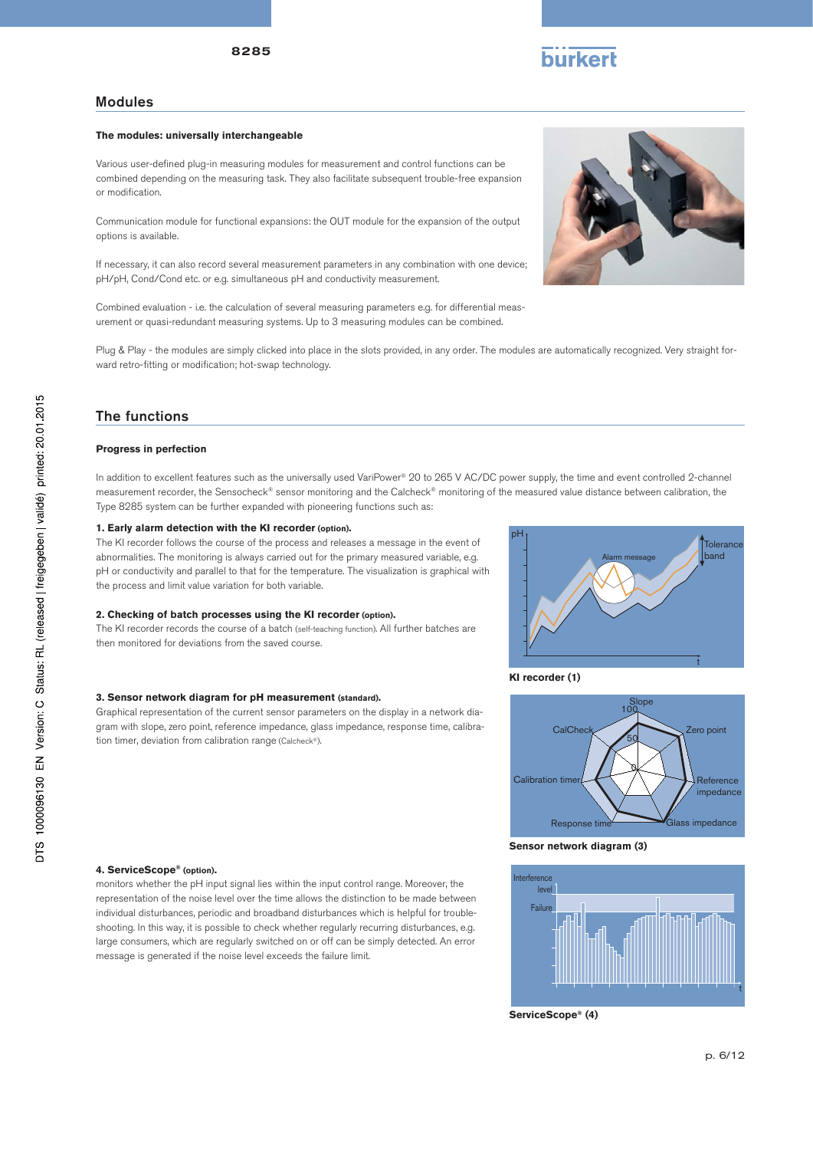## Modules

#### **The modules: universally interchangeable**

Various user-defined plug-in measuring modules for measurement and control functions can be combined depending on the measuring task. They also facilitate subsequent trouble-free expansion or modification.

Communication module for functional expansions: the OUT module for the expansion of the output options is available.

If necessary, it can also record several measurement parameters in any combination with one device; pH/pH, Cond/Cond etc. or e.g. simultaneous pH and conductivity measurement.

Combined evaluation - i.e. the calculation of several measuring parameters e.g. for differential measurement or quasi-redundant measuring systems. Up to 3 measuring modules can be combined.

Plug & Play - the modules are simply clicked into place in the slots provided, in any order. The modules are automatically recognized. Very straight forward retro-fitting or modification; hot-swap technology.

# The functions

#### **Progress in perfection**

In addition to excellent features such as the universally used VariPower® 20 to 265 V AC/DC power supply, the time and event controlled 2-channel measurement recorder, the Sensocheck® sensor monitoring and the Calcheck® monitoring of the measured value distance between calibration, the Type 8285 system can be further expanded with pioneering functions such as:

### **1. Early alarm detection with the KI recorder (option).**

The KI recorder follows the course of the process and releases a message in the event of abnormalities. The monitoring is always carried out for the primary measured variable, e.g. pH or conductivity and parallel to that for the temperature. The visualization is graphical with the process and limit value variation for both variable.

#### **2. Checking of batch processes using the KI recorder (option).**

The KI recorder records the course of a batch (self-teaching function). All further batches are then monitored for deviations from the saved course.

#### **3. Sensor network diagram for pH measurement (standard).**

Graphical representation of the current sensor parameters on the display in a network diagram with slope, zero point, reference impedance, glass impedance, response time, calibration timer, deviation from calibration range (Calcheck®).

#### **4. ServiceScope® (option).**

monitors whether the pH input signal lies within the input control range. Moreover, the representation of the noise level over the time allows the distinction to be made between individual disturbances, periodic and broadband disturbances which is helpful for troubleshooting. In this way, it is possible to check whether regularly recurring disturbances, e.g. large consumers, which are regularly switched on or off can be simply detected. An error message is generated if the noise level exceeds the failure limit.



Interference leve **Failure** 





Response time Glass impedance

**Sensor network diagram (3)**

T

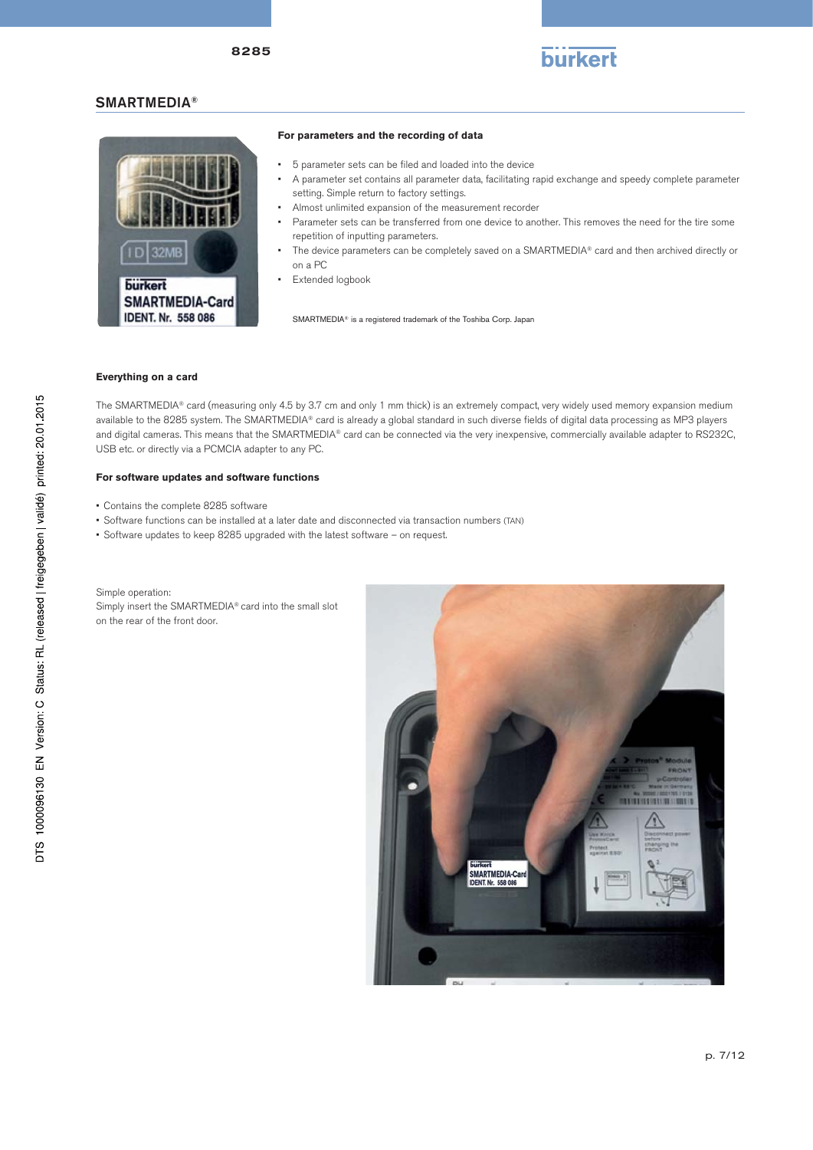# SMARTMEDIA®



### **For parameters and the recording of data**

- 5 parameter sets can be filed and loaded into the device
- A parameter set contains all parameter data, facilitating rapid exchange and speedy complete parameter setting. Simple return to factory settings.

burkert

- Almost unlimited expansion of the measurement recorder
- Parameter sets can be transferred from one device to another. This removes the need for the tire some repetition of inputting parameters.
- The device parameters can be completely saved on a SMARTMEDIA® card and then archived directly or on a PC
- Extended logbook

SMARTMEDIA® is a registered trademark of the Toshiba Corp. Japan

### **Everything on a card**

The SMARTMEDIA® card (measuring only 4.5 by 3.7 cm and only 1 mm thick) is an extremely compact, very widely used memory expansion medium available to the 8285 system. The SMARTMEDIA® card is already a global standard in such diverse fields of digital data processing as MP3 players and digital cameras. This means that the SMARTMEDIA® card can be connected via the very inexpensive, commercially available adapter to RS232C, USB etc. or directly via a PCMCIA adapter to any PC.

#### **For software updates and software functions**

- Contains the complete 8285 software
- Software functions can be installed at a later date and disconnected via transaction numbers (TAN)
- Software updates to keep 8285 upgraded with the latest software on request.



Simple operation: Simply insert the SMARTMEDIA® card into the small slot on the rear of the front door.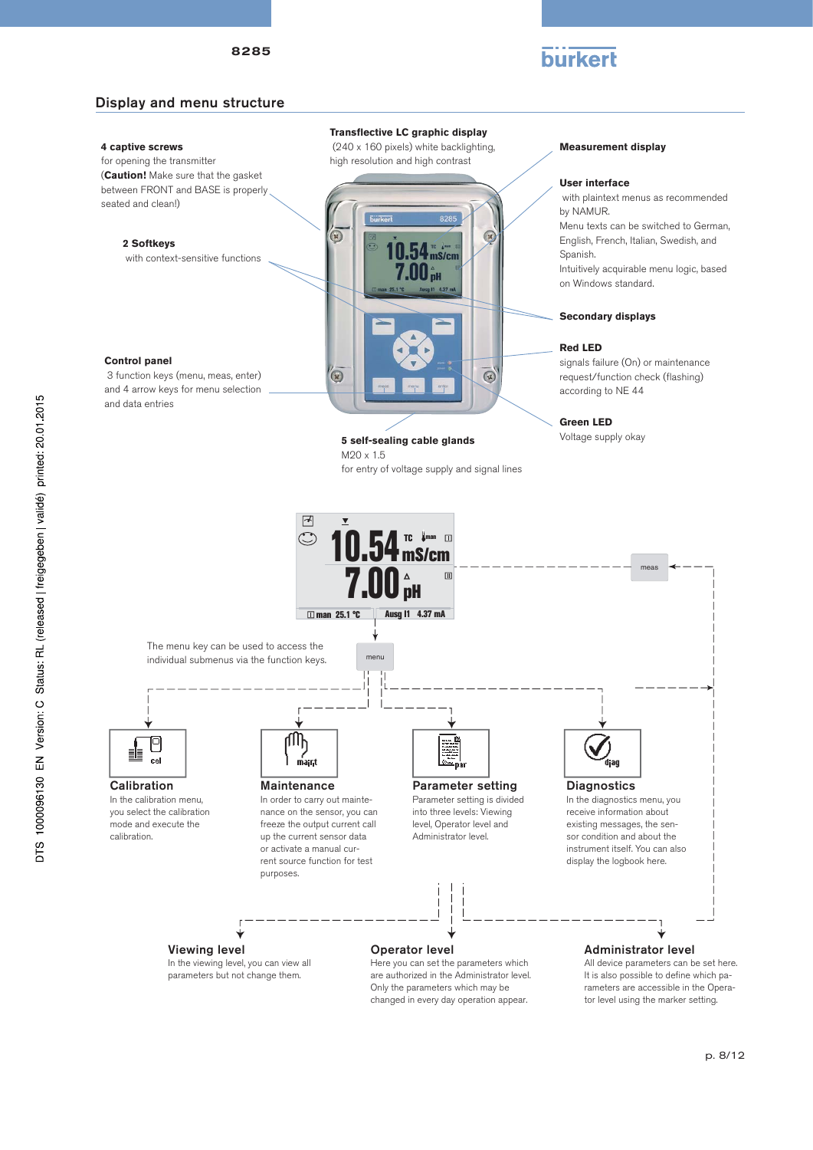# burkert

# Display and menu structure

## **4 captive screws**

for opening the transmitter (**Caution!** Make sure that the gasket between FRONT and BASE is properly seated and clean!)

**2 Softkeys**

with context-sensitive functions

#### **Control panel**

 3 function keys (menu, meas, enter) and 4 arrow keys for menu selection and data entries

## **Transflective LC graphic display**

 (240 x 160 pixels) white backlighting, high resolution and high contrast



# **5 self-sealing cable glands** Voltage supply okay

M20 x 1.5 for entry of voltage supply and signal lines **Measurement display**

#### **User interface**

 with plaintext menus as recommended by NAMUR. Menu texts can be switched to German, English, French, Italian, Swedish, and Spanish. Intuitively acquirable menu logic, based on Windows standard.

### **Secondary displays**

#### **Red LED**

signals failure (On) or maintenance request/function check (flashing) according to NE 44

## **Green LED**



Only the parameters which may be changed in every day operation appear. It is also possible to define which parameters are accessible in the Operator level using the marker setting.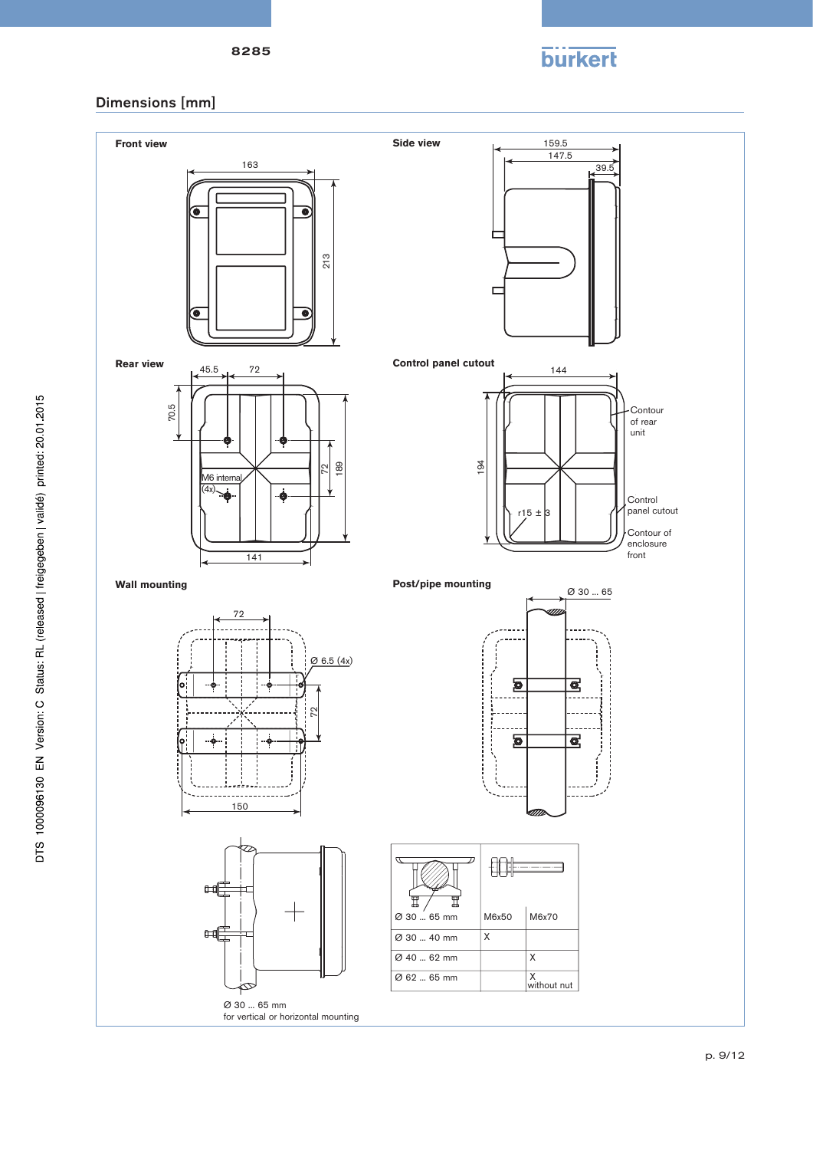

# Dimensions [mm]

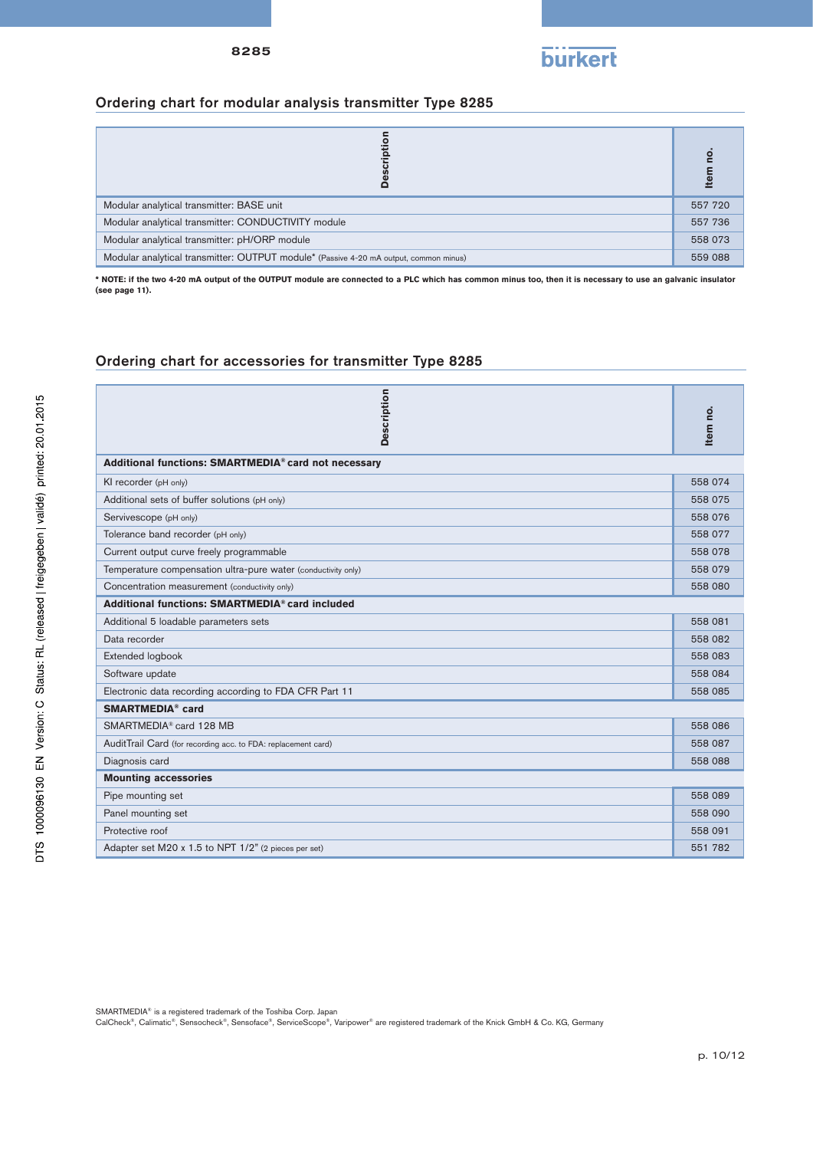

# Ordering chart for modular analysis transmitter Type 8285

|                                                                                       | len     |
|---------------------------------------------------------------------------------------|---------|
| Modular analytical transmitter: BASE unit                                             | 557 720 |
| Modular analytical transmitter: CONDUCTIVITY module                                   |         |
| Modular analytical transmitter: pH/ORP module                                         |         |
| Modular analytical transmitter: OUTPUT module* (Passive 4-20 mA output, common minus) | 559 088 |

**\* NOTE: if the two 4-20 mA output of the OUTPUT module are connected to a PLC which has common minus too, then it is necessary to use an galvanic insulator (see page 11).**

# Ordering chart for accessories for transmitter Type 8285

| <b>Description</b>                                            | Item no. |  |
|---------------------------------------------------------------|----------|--|
| Additional functions: SMARTMEDIA® card not necessary          |          |  |
| KI recorder (pH only)                                         | 558 074  |  |
| Additional sets of buffer solutions (pH only)                 | 558 075  |  |
| Servivescope (pH only)                                        | 558 076  |  |
| Tolerance band recorder (pH only)                             | 558 077  |  |
| Current output curve freely programmable                      | 558 078  |  |
| Temperature compensation ultra-pure water (conductivity only) | 558 079  |  |
| Concentration measurement (conductivity only)                 | 558 080  |  |
| Additional functions: SMARTMEDIA® card included               |          |  |
| Additional 5 loadable parameters sets                         | 558 081  |  |
| Data recorder                                                 | 558 082  |  |
| Extended logbook                                              | 558 083  |  |
| Software update                                               | 558 084  |  |
| Electronic data recording according to FDA CFR Part 11        |          |  |
| <b>SMARTMEDIA®</b> card                                       |          |  |
| SMARTMEDIA® card 128 MB                                       |          |  |
| AuditTrail Card (for recording acc. to FDA: replacement card) |          |  |
| Diagnosis card                                                | 558 088  |  |
| <b>Mounting accessories</b>                                   |          |  |
| Pipe mounting set                                             | 558 089  |  |
| Panel mounting set                                            | 558 090  |  |
| Protective roof                                               | 558 091  |  |
| Adapter set M20 x 1.5 to NPT 1/2" (2 pieces per set)          |          |  |

SMARTMEDIA® is a registered trademark of the Toshiba Corp. Japan

CalCheck®, Calimatic®, Sensocheck®, Sensoface®, ServiceScope®, Varipower® are registered trademark of the Knick GmbH & Co. KG, Germany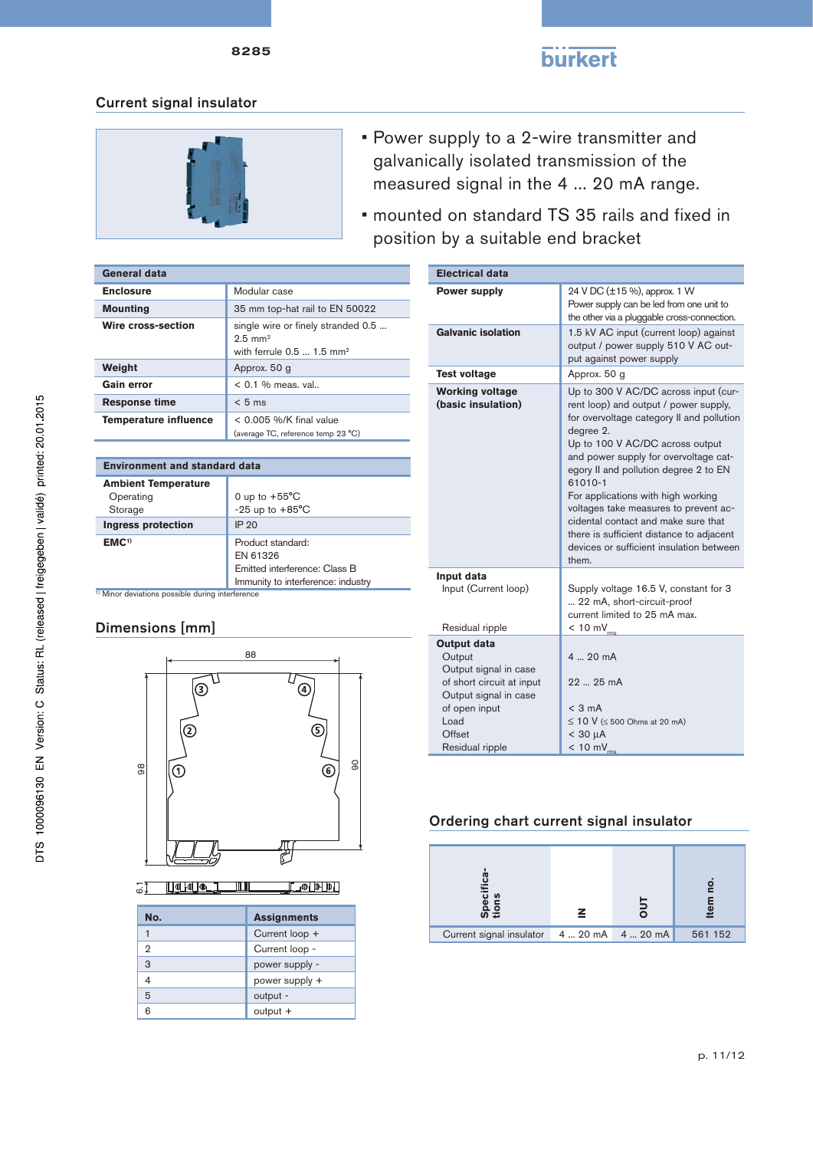

# **burkert**

# Current signal insulator



- Power supply to a 2-wire transmitter and galvanically isolated transmission of the measured signal in the 4 ... 20 mA range.
- mounted on standard TS 35 rails and fixed in position by a suitable end bracket

| General data                 |                                                                                                       |
|------------------------------|-------------------------------------------------------------------------------------------------------|
| <b>Enclosure</b>             | Modular case                                                                                          |
| <b>Mounting</b>              | 35 mm top-hat rail to EN 50022                                                                        |
| Wire cross-section           | single wire or finely stranded 0.5<br>$2.5$ mm <sup>2</sup><br>with ferrule $0.5$ 1.5 mm <sup>2</sup> |
| Weight                       | Approx. 50 g                                                                                          |
| Gain error                   | $< 0.1$ % meas, val                                                                                   |
| <b>Response time</b>         | $< 5$ ms                                                                                              |
| <b>Temperature influence</b> | $< 0.005$ %/K final value<br>(average TC, reference temp 23 °C)                                       |

| <b>Environment and standard data</b>                        |                                                                                                      |  |
|-------------------------------------------------------------|------------------------------------------------------------------------------------------------------|--|
| <b>Ambient Temperature</b><br>Operating<br>Storage          | 0 up to $+55^{\circ}$ C<br>$-25$ up to $+85^{\circ}$ C                                               |  |
| <b>Ingress protection</b>                                   | IP 20                                                                                                |  |
| EMC <sup>1</sup>                                            | Product standard:<br>EN 61326<br>Emitted interference: Class B<br>Immunity to interference: industry |  |
| <sup>1)</sup> Minor deviations possible during interference |                                                                                                      |  |

# Dimensions [mm]



<u> Johan mm</u>  $\Box$   $\Phi$   $\Box$   $\Phi$   $\Box$ 

| No. | <b>Assignments</b> |
|-----|--------------------|
|     | Current loop +     |
| 2   | Current loop -     |
| 3   | power supply -     |
| 4   | power supply +     |
| 5   | output -           |
| ี   | output +           |

| <b>Electrical data</b>                                                                |                                                                                                                                                                                                                                                                                                                                                                                                                                                                                                |  |
|---------------------------------------------------------------------------------------|------------------------------------------------------------------------------------------------------------------------------------------------------------------------------------------------------------------------------------------------------------------------------------------------------------------------------------------------------------------------------------------------------------------------------------------------------------------------------------------------|--|
| <b>Power supply</b>                                                                   | 24 V DC (±15 %), approx. 1 W<br>Power supply can be led from one unit to<br>the other via a pluggable cross-connection.                                                                                                                                                                                                                                                                                                                                                                        |  |
| <b>Galvanic isolation</b>                                                             | 1.5 kV AC input (current loop) against<br>output / power supply 510 V AC out-<br>put against power supply                                                                                                                                                                                                                                                                                                                                                                                      |  |
| <b>Test voltage</b>                                                                   | Approx. 50 g                                                                                                                                                                                                                                                                                                                                                                                                                                                                                   |  |
| <b>Working voltage</b><br>(basic insulation)                                          | Up to 300 V AC/DC across input (cur-<br>rent loop) and output / power supply,<br>for overvoltage category II and pollution<br>degree 2.<br>Up to 100 V AC/DC across output<br>and power supply for overvoltage cat-<br>egory II and pollution degree 2 to EN<br>61010-1<br>For applications with high working<br>voltages take measures to prevent ac-<br>cidental contact and make sure that<br>there is sufficient distance to adjacent<br>devices or sufficient insulation between<br>them. |  |
| Input data<br>Input (Current loop)<br>Residual ripple                                 | Supply voltage 16.5 V, constant for 3<br>22 mA, short-circuit-proof<br>current limited to 25 mA max.<br>$< 10 \text{ mV}_{\text{rms}}$                                                                                                                                                                                                                                                                                                                                                         |  |
| <b>Output data</b>                                                                    |                                                                                                                                                                                                                                                                                                                                                                                                                                                                                                |  |
| Output<br>Output signal in case<br>of short circuit at input<br>Output signal in case | 4  20 mA<br>22  25 mA                                                                                                                                                                                                                                                                                                                                                                                                                                                                          |  |
| of open input<br>Load<br>Offset<br>Residual ripple                                    | $<$ 3 mA<br>$\leq$ 10 V ( $\leq$ 500 Ohms at 20 mA)<br>$<$ 30 $\mu$ A<br>$< 10 mV_{rms}$                                                                                                                                                                                                                                                                                                                                                                                                       |  |

# Ordering chart current signal insulator